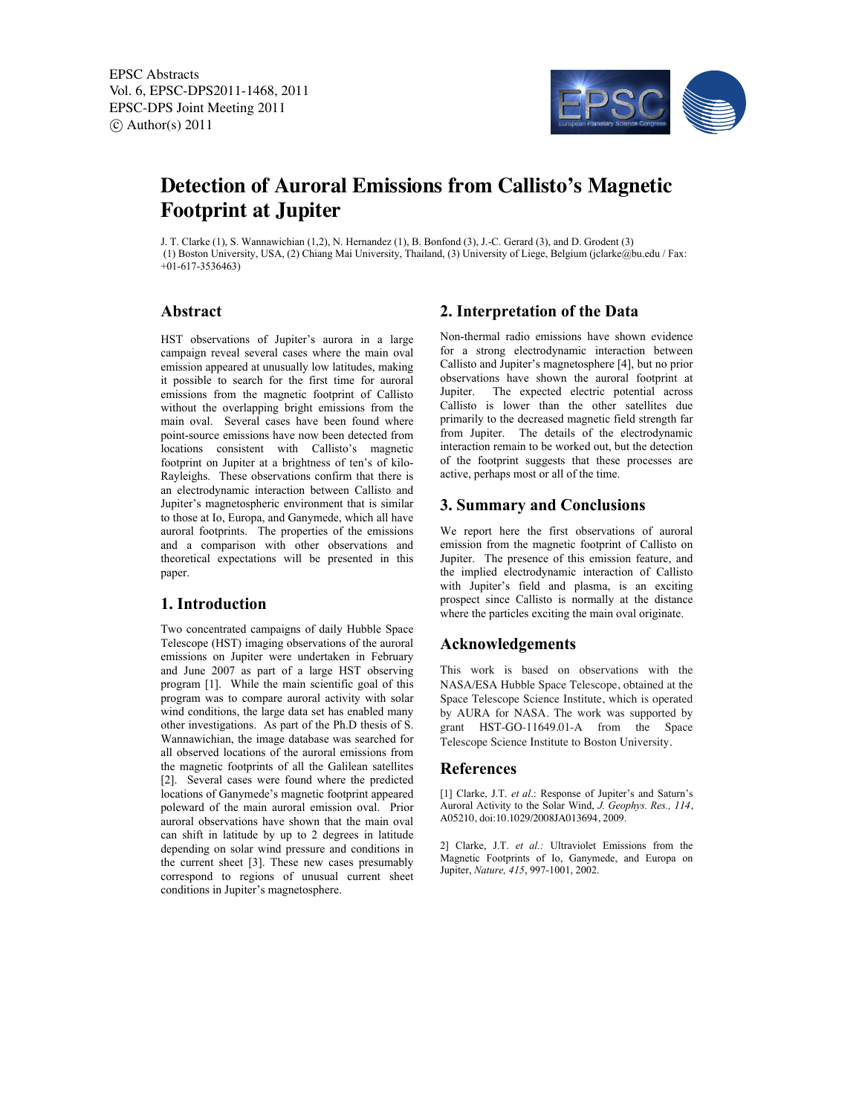

# **Detection of Auroral Emissions from Callisto's Magnetic Footprint at Jupiter**

J. T. Clarke (1), S. Wannawichian (1,2), N. Hernandez (1), B. Bonfond (3), J.-C. Gerard (3), and D. Grodent (3) (1) Boston University, USA, (2) Chiang Mai University, Thailand, (3) University of Liege, Belgium (jclarke@bu.edu / Fax: +01-617-3536463)

## **Abstract**

HST observations of Jupiter's aurora in a large campaign reveal several cases where the main oval emission appeared at unusually low latitudes, making it possible to search for the first time for auroral emissions from the magnetic footprint of Callisto without the overlapping bright emissions from the main oval. Several cases have been found where point-source emissions have now been detected from locations consistent with Callisto's magnetic footprint on Jupiter at a brightness of ten's of kilo-Rayleighs. These observations confirm that there is an electrodynamic interaction between Callisto and Jupiter's magnetospheric environment that is similar to those at Io, Europa, and Ganymede, which all have auroral footprints. The properties of the emissions and a comparison with other observations and theoretical expectations will be presented in this paper.

# **1. Introduction**

Two concentrated campaigns of daily Hubble Space Telescope (HST) imaging observations of the auroral emissions on Jupiter were undertaken in February and June 2007 as part of a large HST observing program [1]. While the main scientific goal of this program was to compare auroral activity with solar wind conditions, the large data set has enabled many other investigations. As part of the Ph.D thesis of S. Wannawichian, the image database was searched for all observed locations of the auroral emissions from the magnetic footprints of all the Galilean satellites [2]. Several cases were found where the predicted locations of Ganymede's magnetic footprint appeared poleward of the main auroral emission oval. Prior auroral observations have shown that the main oval can shift in latitude by up to 2 degrees in latitude depending on solar wind pressure and conditions in the current sheet [3]. These new cases presumably correspond to regions of unusual current sheet conditions in Jupiter's magnetosphere.

# **2. Interpretation of the Data**

Non-thermal radio emissions have shown evidence for a strong electrodynamic interaction between Callisto and Jupiter's magnetosphere [4], but no prior observations have shown the auroral footprint at Jupiter. The expected electric potential across Callisto is lower than the other satellites due primarily to the decreased magnetic field strength far from Jupiter. The details of the electrodynamic interaction remain to be worked out, but the detection of the footprint suggests that these processes are active, perhaps most or all of the time.

### **3. Summary and Conclusions**

We report here the first observations of auroral emission from the magnetic footprint of Callisto on Jupiter. The presence of this emission feature, and the implied electrodynamic interaction of Callisto with Jupiter's field and plasma, is an exciting prospect since Callisto is normally at the distance where the particles exciting the main oval originate.

#### **Acknowledgements**

This work is based on observations with the NASA/ESA Hubble Space Telescope, obtained at the Space Telescope Science Institute, which is operated by AURA for NASA. The work was supported by grant HST-GO-11649.01-A from the Space Telescope Science Institute to Boston University.

#### **References**

[1] Clarke, J.T. *et al*.: Response of Jupiter's and Saturn's Auroral Activity to the Solar Wind, *J. Geophys. Res., 114*, A05210, doi:10.1029/2008JA013694, 2009.

2] Clarke, J.T. *et al.:* Ultraviolet Emissions from the Magnetic Footprints of Io, Ganymede, and Europa on Jupiter, *Nature, 415*, 997-1001, 2002.